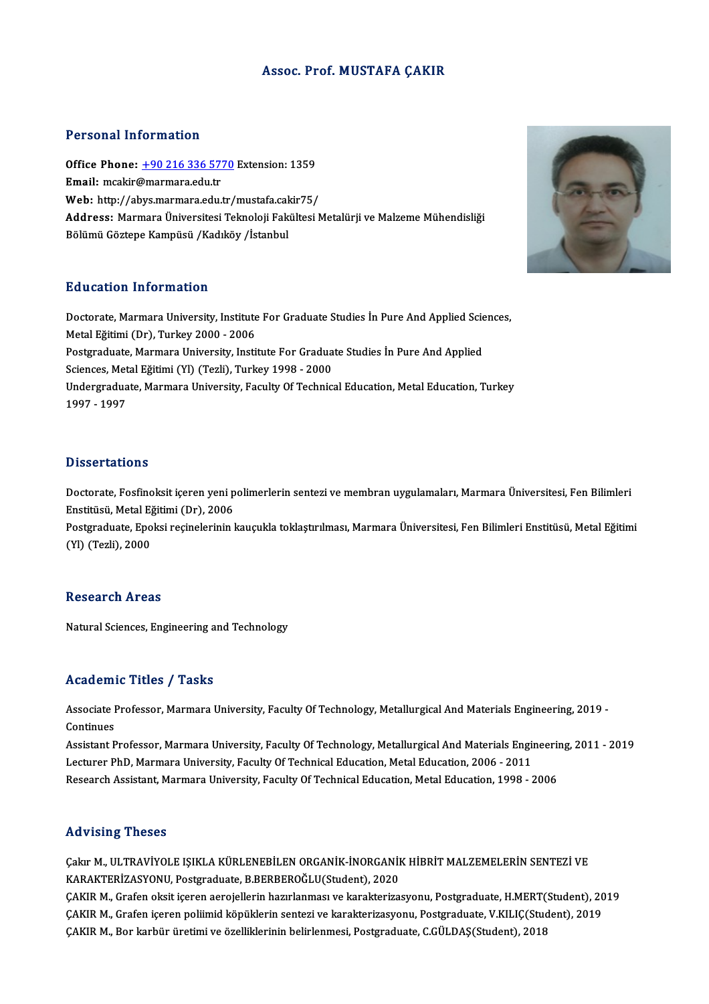# Assoc. Prof.MUSTAFA ÇAKIR

# Personal Information

Personal Information<br>Office Phone: <u>+90 216 336 5770</u> Extension: 1359<br>Email: meakir@marmara.edu.tr Procedulation interests<br>Office Phone: <u>+90 216 336 57</u><br>Email: mcakir[@marmara.edu.tr](tel:+90 216 336 5770) Office Phone: <u>+90 216 336 5770</u> Extension: 1359<br>Email: mcakir@marmara.edu.tr<br>Web: http://abys.marmara.edu.tr/mustafa.cakir75/<br>Address. Marmara Universitesi Telmoloji Felsiltesi M Email: mcakir@marmara.edu.tr<br>Web: http://abys.marmara.edu.tr/mustafa.cakir75/<br>Address: Marmara Üniversitesi Teknoloji Fakültesi Metalürji ve Malzeme Mühendisliği<br>Bölümü Göztepe Kampüsü /Kadıköy /İstanbul Web: http://abys.marmara.edu.tr/mustafa.cakir75/

# Education Information

Education Information<br>Doctorate, Marmara University, Institute For Graduate Studies İn Pure And Applied Sciences,<br>Metal Eğitimi (Dr), Turkey 2000, 2006 Matalettoni Innonimatroni<br>Doctorate, Marmara University, Institute<br>Metal Eğitimi (Dr), Turkey 2000 - 2006<br>Restauduate, Marmara University, Insti Doctorate, Marmara University, Institute For Graduate Studies İn Pure And Applied Scie<br>Metal Eğitimi (Dr), Turkey 2000 - 2006<br>Postgraduate, Marmara University, Institute For Graduate Studies İn Pure And Applied<br>Sciences Me Metal Eğitimi (Dr), Turkey 2000 - 2006<br>Postgraduate, Marmara University, Institute For Gradua<br>Sciences, Metal Eğitimi (Yl) (Tezli), Turkey 1998 - 2000<br>Undersraduate Marmara University, Faculty Of Technic Undergraduate, Marmara University, Faculty Of Technical Education, Metal Education, Turkey<br>1997 - 1997 Sciences, Metal Eğitimi (Yl) (Tezli), Turkey 1998 - 2000

# **Dissertations**

Doctorate, Fosfinoksit içeren yeni polimerlerin sentezi ve membran uygulamaları, Marmara Üniversitesi, Fen Bilimleri Bassoa taaroms<br>Doctorate, Fosfinoksit içeren yeni p<br>Enstitüsü, Metal Eğitimi (Dr), 2006<br>Bostaraduate, Englisi recinolorinin l

Postgraduate, Epoksi reçinelerinin kauçukla toklaştırılması, Marmara Üniversitesi, Fen Bilimleri Enstitüsü, Metal Eğitimi<br>(Yl) (Tezli), 2000 Enstitüsü, Metal E<sub>ğ</sub><br>Postgraduate, Epo<br>(Yl) (Tezli), 2000

## Research Areas

Natural Sciences, Engineering and Technology

# Academic Titles / Tasks

Academic Titles / Tasks<br>Associate Professor, Marmara University, Faculty Of Technology, Metallurgical And Materials Engineering, 2019 -<br>Centinues Associate I<br>Continues<br>Assistant P Associate Professor, Marmara University, Faculty Of Technology, Metallurgical And Materials Engineering, 2019 -<br>Continues<br>Assistant Professor, Marmara University, Faculty Of Technology, Metallurgical And Materials Engineer

Continues<br>Assistant Professor, Marmara University, Faculty Of Technology, Metallurgical And Materials Engi<br>Lecturer PhD, Marmara University, Faculty Of Technical Education, Metal Education, 2006 - 2011<br>Research Assistant M Assistant Professor, Marmara University, Faculty Of Technology, Metallurgical And Materials Engineeri<br>Lecturer PhD, Marmara University, Faculty Of Technical Education, Metal Education, 2006 - 2011<br>Research Assistant, Marma Research Assistant, Marmara University, Faculty Of Technical Education, Metal Education, 1998 - 2006<br>Advising Theses

Çakır M., ULTRAVİYOLE IŞIKLA KÜRLENEBİLEN ORGANİK-İNORGANİK HİBRİT MALZEMELERİN SENTEZİ VE KARAKTERİZASYONU,Postgraduate,B.BERBEROĞLU(Student),2020 Çakır M., ULTRAVİYOLE IŞIKLA KÜRLENEBİLEN ORGANİK-İNORGANİK HİBRİT MALZEMELERİN SENTEZİ VE<br>KARAKTERİZASYONU, Postgraduate, B.BERBEROĞLU(Student), 2020<br>ÇAKIR M., Grafen oksit içeren aerojellerin hazırlanması ve karakterizas

KARAKTERİZASYONU, Postgraduate, B.BERBEROĞLU(Student), 2020<br>ÇAKIR M., Grafen oksit içeren aerojellerin hazırlanması ve karakterizasyonu, Postgraduate, H.MERT(Student), 20<br>ÇAKIR M., Grafen içeren poliimid köpüklerin sentezi ÇAKIR M., Grafen içeren poliimid köpüklerin sentezi ve karakterizasyonu, Postgraduate, V.KILIÇ(Student), 2019<br>ÇAKIR M., Bor karbür üretimi ve özelliklerinin belirlenmesi, Postgraduate, C.GÜLDAŞ(Student), 2018

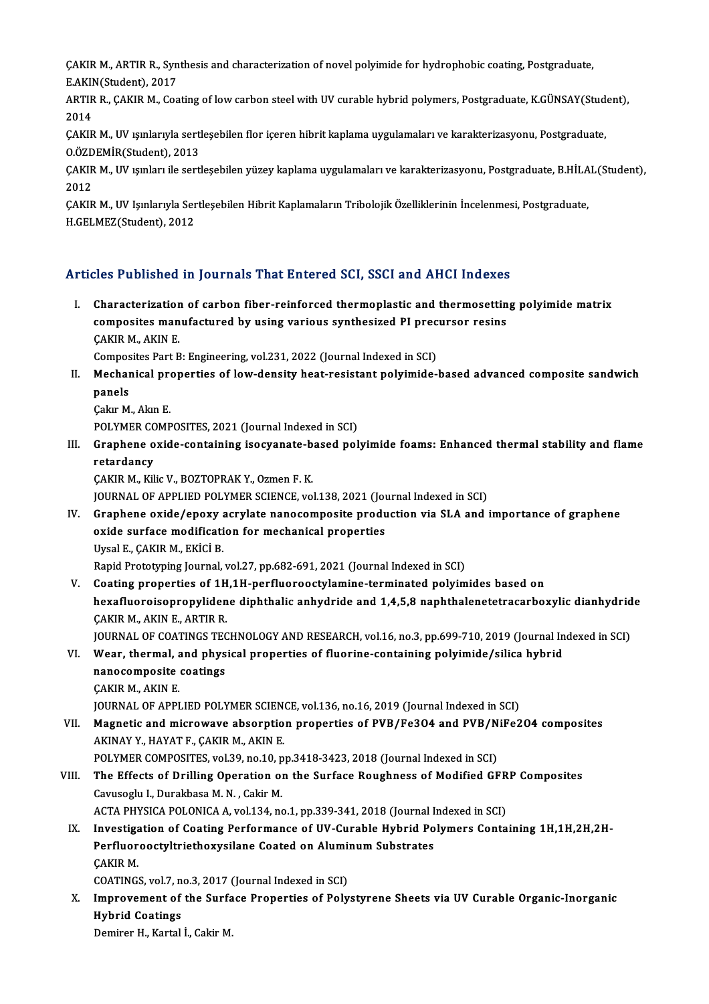ÇAKIR M., ARTIR R., Synthesis and characterization of novel polyimide for hydrophobic coating, Postgraduate,<br>F.AKIN(Stydent), 2017 CAKIR M., ARTIR R., Syn<br>E.AKIN(Student), 2017<br>APTIP B., GAKIR M., Coa ÇAKIR M., ARTIR R., Synthesis and characterization of novel polyimide for hydrophobic coating, Postgraduate,<br>E.AKIN(Student), 2017<br>ARTIR R., ÇAKIR M., Coating of low carbon steel with UV curable hybrid polymers, Postgradua

E.AKIN<br>ARTIR<br>2014<br>CAKIR ARTIR R., ÇAKIR M., Coating of low carbon steel with UV curable hybrid polymers, Postgraduate, K.GÜNSAY(Stud<br>2014<br>ÇAKIR M., UV ışınlarıyla sertleşebilen flor içeren hibrit kaplama uygulamaları ve karakterizasyonu, Postgrad

2014<br>ÇAKIR M., UV ışınlarıyla sertleşebilen flor içeren hibrit kaplama uygulamaları ve karakterizasyonu, Postgraduate,<br>O.ÖZDEMİR(Student), 2013 ÇAKIR M., UV ışınlarıyla sertleşebilen flor içeren hibrit kaplama uygulamaları ve karakterizasyonu, Postgraduate,<br>0.ÖZDEMİR(Student), 2013<br>ÇAKIR M., UV ışınları ile sertleşebilen yüzey kaplama uygulamaları ve karakterizasy

0.ÖZD<br>ÇAKIR<br>2012<br>CAKIR ÇAKIR M., UV ışınları ile sertleşebilen yüzey kaplama uygulamaları ve karakterizasyonu, Postgraduate, B.HİLA<br>2012<br>ÇAKIR M., UV Işınlarıyla Sertleşebilen Hibrit Kaplamaların Tribolojik Özelliklerinin İncelenmesi, Postgradua

2012<br>ÇAKIR M., UV Işınlarıyla Sertleşebilen Hibrit Kaplamaların Tribolojik Özelliklerinin İncelenmesi, Postgraduate,<br>H.GELMEZ(Student), 2012

# Articles Published in Journals That Entered SCI, SSCI and AHCI Indexes

rticles Published in Journals That Entered SCI, SSCI and AHCI Indexes<br>I. Characterization of carbon fiber-reinforced thermoplastic and thermosetting polyimide matrix<br>composites manufactured by using various synthesized BI characterization of carbon fiber-reinforced thermoplastic and thermosettin<br>composites manufactured by using various synthesized PI precursor resins Characterization<br>composites man<br>ÇAKIR M., AKIN E.<br>Composites Part P composites manufactured by using various synthesized PI prec<br>CAKIR M., AKIN E.<br>Composites Part B: Engineering, vol.231, 2022 (Journal Indexed in SCI)<br>Mechanical proporties of low density best resistent polyimide

CAKIR M., AKIN E.<br>Composites Part B: Engineering, vol.231, 2022 (Journal Indexed in SCI)<br>II. Mechanical properties of low-density heat-resistant polyimide-based advanced composite sandwich<br>panels Compos<br>Mechar<br>panels<br>Cakr M

Çakır M., Akın E.

POLYMER COMPOSITES, 2021 (Journal Indexed in SCI)

Cakır M., Akın E.<br>POLYMER COMPOSITES, 2021 (Journal Indexed in SCI)<br>III. Graphene oxide-containing isocyanate-based polyimide foams: Enhanced thermal stability and flame<br>retardancy POLYMER CC<br>Graphene o<br>retardancy<br>CAVIP M Vil retardancy<br>ÇAKIR M., Kilic V., BOZTOPRAK Y., Ozmen F. K. retardancy<br>ÇAKIR M., Kilic V., BOZTOPRAK Y., Ozmen F. K.<br>JOURNAL OF APPLIED POLYMER SCIENCE, vol.138, 2021 (Journal Indexed in SCI)<br>Craphene evide (epevy estylate papesampesite production via SLA and i

- CAKIR M., Kilic V., BOZTOPRAK Y., Ozmen F. K.<br>JOURNAL OF APPLIED POLYMER SCIENCE, vol.138, 2021 (Journal Indexed in SCI)<br>IV. Graphene oxide/epoxy acrylate nanocomposite production via SLA and importance of graphene<br>oxide s JOURNAL OF APPLIED POLYMER SCIENCE, vol.138, 2021 (Journal Graphene oxide/epoxy acrylate nanocomposite produ<br>oxide surface modification for mechanical properties<br>Urgel E. CAVIB M. EVICLE Graphene oxide/epoxy<br>oxide surface modificati<br>Uysal E., ÇAKIR M., EKİCİ B.<br>Panid Prototrning Journal oxide surface modification for mechanical properties<br>Uysal E., ÇAKIR M., EKİCİ B.<br>Rapid Prototyping Journal, vol.27, pp.682-691, 2021 (Journal Indexed in SCI) Uysal E., ÇAKIR M., EKİCİ B.<br>Rapid Prototyping Journal, vol.27, pp.682-691, 2021 (Journal Indexed in SCI)<br>V. Coating properties of 1H,1H-perfluorooctylamine-terminated polyimides based on<br>havefluoroisannanylidene dinhthali
- Rapid Prototyping Journal, vol.27, pp.682-691, 2021 (Journal Indexed in SCI)<br>Coating properties of 1H,1H-perfluorooctylamine-terminated polyimides based on<br>hexafluoroisopropylidene diphthalic anhydride and 1,4,5,8 naphthal **Coating properties of 1H<br>hexafluoroisopropyliden<br>CAKIR M., AKIN E., ARTIR R.**<br>JOUPMAL OF COATINGS TEC hexafluoroisopropylidene diphthalic anhydride and 1,4,5,8 naphthalenetetracarboxylic dianhydrid<br>ÇAKIR M., AKIN E., ARTIR R.<br>JOURNAL OF COATINGS TECHNOLOGY AND RESEARCH, vol.16, no.3, pp.699-710, 2019 (Journal Indexed in SC CAKIR M., AKIN E., ARTIR R.<br>JOURNAL OF COATINGS TECHNOLOGY AND RESEARCH, vol.16, no.3, pp.699-710, 2019 (Journal In<br>VI. Wear, thermal, and physical properties of fluorine-containing polyimide/silica hybrid<br>Rangsomnosite so
- **JOURNAL OF COATINGS TEC<br>Wear, thermal, and phys<br>nanocomposite coatings<br>CAKIB M. AKIN F** Wear, thermal, a<br>nanocomposite<br>ÇAKIR M., AKIN E.<br>IQUPNAL OF APPI nanocomposite coatings<br>CAKIR M., AKIN E.<br>JOURNAL OF APPLIED POLYMER SCIENCE, vol.136, no.16, 2019 (Journal Indexed in SCI)

- CAKIR M., AKIN E.<br>JOURNAL OF APPLIED POLYMER SCIENCE, vol.136, no.16, 2019 (Journal Indexed in SCI)<br>VII. Magnetic and microwave absorption properties of PVB/Fe3O4 and PVB/NiFe2O4 composites<br>AKINAVY HAVATE CAKIB M. AKIN E AKINAYY.,HAYATF.,ÇAKIRM.,AKINE. Magnetic and microwave absorption properties of PVB/Fe3O4 and PVB/N<br>AKINAY Y., HAYAT F., ÇAKIR M., AKIN E.<br>POLYMER COMPOSITES, vol.39, no.10, pp.3418-3423, 2018 (Journal Indexed in SCI)<br>The Effects of Drilling Operation on POLYMER COMPOSITES, vol.39, no.10, pp.3418-3423, 2018 (Journal Indexed in SCI)
- VIII. The Effects of Drilling Operation on the Surface Roughness of Modified GFRP Composites<br>Cavusoglu I., Durakbasa M. N., Cakir M. The Effects of Drilling Operation on the Surface Roughness of Modified GFR<br>Cavusoglu I., Durakbasa M. N. , Cakir M.<br>ACTA PHYSICA POLONICA A, vol.134, no.1, pp.339-341, 2018 (Journal Indexed in SCI)<br>Investigation of Costing Cavusoglu I., Durakbasa M. N. , Cakir M.<br>ACTA PHYSICA POLONICA A, vol.134, no.1, pp.339-341, 2018 (Journal Indexed in SCI)<br>IX. Investigation of Coating Performance of UV-Curable Hybrid Polymers Containing 1H,1H,2H,2H-<br>Refl
	- ACTA PHYSICA POLONICA A, vol.134, no.1, pp.339-341, 2018 (Journal I<br>Investigation of Coating Performance of UV-Curable Hybrid Po<br>Perfluorooctyltriethoxysilane Coated on Aluminum Substrates<br>CAKIB M Investiga<br>Perfluor<br>ÇAKIR M.<br>COATINCS Perfluorooctyltriethoxysilane Coated on Aluminum Substrates<br>CAKIR M.<br>COATINGS, vol.7, no.3, 2017 (Journal Indexed in SCI)

CAKIR M.<br>COATINGS, vol.7, no.3, 2017 (Journal Indexed in SCI)<br>X. Improvement of the Surface Properties of Polystyrene Sheets via UV Curable Organic-Inorganic<br>Hybrid Coatings COATINGS, vol.7, n<br>Improvement of<br>Hybrid Coatings<br>Domiror H. Kortal Improvement of the Surfa<br>Hybrid Coatings<br>Demirer H., Kartal İ., Cakir M.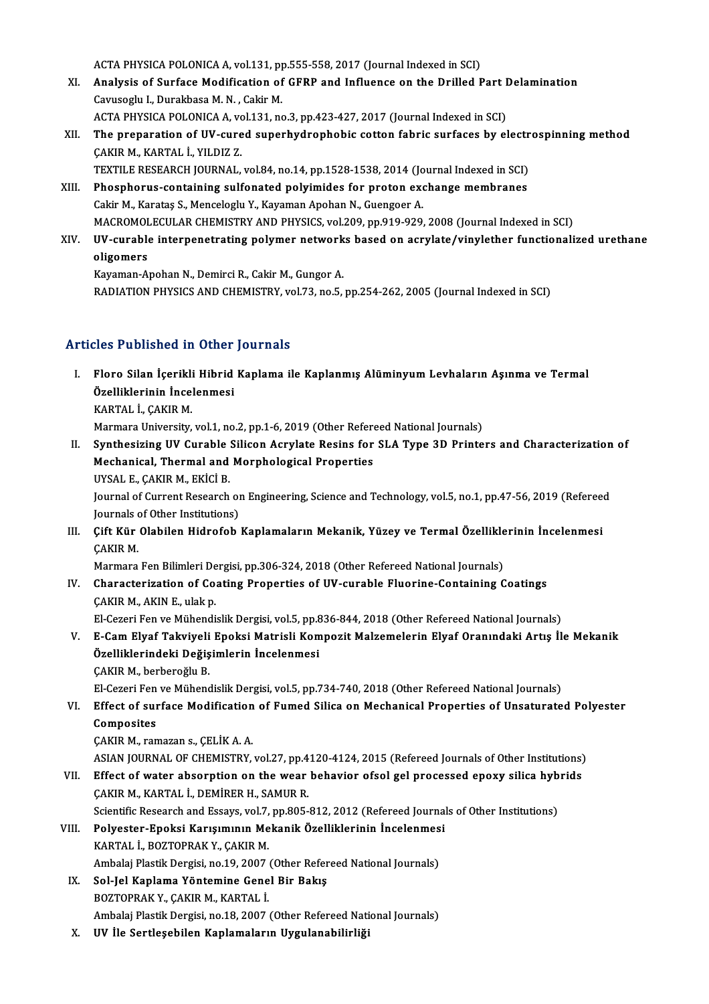ACTA PHYSICA POLONICA A, vol.131, pp.555-558, 2017 (Journal Indexed in SCI)<br>Analysis of Surface Modification of CEPP and Influence on the Drilled I

- ACTA PHYSICA POLONICA A, vol.131, pp.555-558, 2017 (Journal Indexed in SCI)<br>XI. Analysis of Surface Modification of GFRP and Influence on the Drilled Part Delamination ACTA PHYSICA POLONICA A, vol.131, p<br>**Analysis of Surface Modification of**<br>Cavusoglu I., Durakbasa M. N. , Cakir M.<br>ACTA PHYSICA POLONICA A, vol.131, po Analysis of Surface Modification of GFRP and Influence on the Drilled Part I<br>Cavusoglu I., Durakbasa M. N. , Cakir M.<br>ACTA PHYSICA POLONICA A, vol.131, no.3, pp.423-427, 2017 (Journal Indexed in SCI)<br>The preperation of UV,
- Cavusoglu I., Durakbasa M. N. , Cakir M.<br>ACTA PHYSICA POLONICA A, vol.131, no.3, pp.423-427, 2017 (Journal Indexed in SCI)<br>XII. The preparation of UV-cured superhydrophobic cotton fabric surfaces by electrospinning method<br> ACTA PHYSICA POLONICA A, vol.131, no.3, pp.423-427, 2017 (Journal Indexed in SCI)<br>The preparation of UV-cured superhydrophobic cotton fabric surfaces by el<br>CAKIR M., KARTAL İ., YILDIZ Z. The preparation of UV-cured superhydrophobic cotton fabric surfaces by electr<br>ÇAKIR M., KARTAL İ., YILDIZ Z.<br>TEXTILE RESEARCH JOURNAL, vol.84, no.14, pp.1528-1538, 2014 (Journal Indexed in SCI)<br>Phosphorus sentaining sulfan CAKIR M., KARTAL İ., YILDIZ Z.<br>TEXTILE RESEARCH JOURNAL, vol.84, no.14, pp.1528-1538, 2014 (Journal Indexed in SCI)<br>XIII. Phosphorus-containing sulfonated polyimides for proton exchange membranes<br>Cakir M. Karatas S. Mangel
	-
- TEXTILE RESEARCH JOURNAL, vol.84, no.14, pp.1528-1538, 2014 (Jo<br>Phosphorus-containing sulfonated polyimides for proton exc<br>Cakir M., Karataş S., Menceloglu Y., Kayaman Apohan N., Guengoer A.<br>MACROMOLECULAR CHEMISTRY AND PH Phosphorus-containing sulfonated polyimides for proton exchange membranes<br>Cakir M., Karataş S., Menceloglu Y., Kayaman Apohan N., Guengoer A.<br>MACROMOLECULAR CHEMISTRY AND PHYSICS, vol.209, pp.919-929, 2008 (Journal Indexed Cakir M., Karataş S., Menceloglu Y., Kayaman Apohan N., Guengoer A.<br>MACROMOLECULAR CHEMISTRY AND PHYSICS, vol.209, pp.919-929, 2008 (Journal Indexed in SCI)<br>XIV. UV-curable interpenetrating polymer networks based on acryla
- MACROMOL<br>UV-curable<br>oligomers<br>Kavaman A **UV-curable interpenetrating polymer network<br>oligomers<br>Kayaman-Apohan N., Demirci R., Cakir M., Gungor A.<br>BADIATION BUYSICS AND CUEMISTRY, VOL73, DO E**

**oligomers**<br>Kayaman-Apohan N., Demirci R., Cakir M., Gungor A.<br>RADIATION PHYSICS AND CHEMISTRY, vol.73, no.5, pp.254-262, 2005 (Journal Indexed in SCI)

# Articles Published in Other Journals

I. Floro Silan İçerikli Hibrid Kaplama ile Kaplanmış AlüminyumLevhaların Aşınma ve Termal Mos I denoncu in Schol<br>Floro Silan İçerikli Hibrid<br>Özelliklerinin İncelenmesi<br>KARTAL İ. GAKIR M Floro Silan İçerikli<br>Özelliklerinin İncel<br>KARTAL İ., ÇAKIR M.<br>Marmara University

KARTAL İ., ÇAKIR M.<br>Marmara University, vol.1, no.2, pp.1-6, 2019 (Other Refereed National Journals)

II. Synthesizing UV Curable Silicon Acrylate Resins for SLA Type 3D Printers and Characterization of Marmara University, vol.1, no.2, pp.1-6, 2019 (Other Referently and Morphological Properties<br>Mechanical, Thermal and Morphological Properties<br>UNSAL E. CAKIB M. EKICLR Synthesizing UV Curable<br>Mechanical, Thermal and<br>UYSAL E., ÇAKIR M., EKİCİ B.<br>Journal of Curront Bosoarsh Mechanical, Thermal and Morphological Properties<br>UYSAL E., ÇAKIR M., EKİCİ B.<br>Journal of Current Research on Engineering, Science and Technology, vol.5, no.1, pp.47-56, 2019 (Refereed<br>Journals of Other Institutions)

UYSAL E., ÇAKIR M., EKİCİ B.<br>Journal of Current Research on<br>Journals of Other Institutions)<br>Cift Kür Olabilan Hidrofab. Journal of Current Research on Engineering, Science and Technology, vol.5, no.1, pp.47-56, 2019 (Refereen Journals of Other Institutions)<br>III. Cift Kür Olabilen Hidrofob Kaplamaların Mekanik, Yüzey ve Termal Özelliklerinin

Journals of Other Institutions)<br>III. Çift Kür Olabilen Hidrofob Kaplamaların Mekanik, Yüzey ve Termal Özelliklerinin İncelenmesi<br>CAKIR M. Çift Kür Olabilen Hidrofob Kaplamaların Mekanik, Yüzey ve Termal Özellikle<br>ÇAKIR M.<br>Marmara Fen Bilimleri Dergisi, pp.306-324, 2018 (Other Refereed National Journals)<br>Characterization of Costing Properties of UV surable El

IV. Characterization of Coating Properties of UV-curable Fluorine-Containing Coatings Marmara Fen Bilimleri De<br>Characterization of Co.<br>ÇAKIR M., AKIN E., ulak p.<br>El Cazari Fan ve Mühandi.

El-Cezeri Fen ve Mühendislik Dergisi, vol.5, pp.836-844, 2018 (Other Refereed National Journals)

ÇAKIR M., AKIN E., ulak p.<br>El-Cezeri Fen ve Mühendislik Dergisi, vol.5, pp.836-844, 2018 (Other Refereed National Journals)<br>V. E-Cam Elyaf Takviyeli Epoksi Matrisli Kompozit Malzemelerin Elyaf Oranındaki Artış İle Meka El-Cezeri Fen ve Mühendislik Dergisi, vol.5, pp.8<br>E-Cam Elyaf Takviyeli Epoksi Matrisli Kom<br>Özelliklerindeki Değişimlerin İncelenmesi<br>CAKIB M. berbereğlu B E-Cam Elyaf Takviyeli<br>Özelliklerindeki Değiş<br>ÇAKIR M., berberoğlu B.<br>El Cazeri Fen ve Mühand Özelliklerindeki Değişimlerin İncelenmesi<br>ÇAKIR M., berberoğlu B.<br>El-Cezeri Fen ve Mühendislik Dergisi, vol.5, pp.734-740, 2018 (Other Refereed National Journals)

# CAKIR M., berberoğlu B.<br>El-Cezeri Fen ve Mühendislik Dergisi, vol.5, pp.734-740, 2018 (Other Refereed National Journals)<br>VI. Effect of surface Modification of Fumed Silica on Mechanical Properties of Unsaturated Polyester<br> Composites<br>CAKIR M., ramazan s., CELİK A. A. Effect of surface Modification<br>Composites<br>ÇAKIR M., ramazan s., ÇELİK A. A.<br>ASIAN JOUPNAL OF CUEMISTRY

ASIAN JOURNAL OF CHEMISTRY, vol.27, pp.4120-4124, 2015 (Refereed Journals of Other Institutions)

CAKIR M., ramazan s., CELİK A. A.<br>ASIAN JOURNAL OF CHEMISTRY, vol.27, pp.4120-4124, 2015 (Refereed Journals of Other Institutions)<br>VII. Effect of water absorption on the wear behavior ofsol gel processed epoxy silica hybri ASIAN JOURNAL OF CHEMISTRY, vol.27, pp.4<br>Effect of water absorption on the wear<br>ÇAKIR M., KARTAL İ., DEMİRER H., SAMUR R.<br>Scientific Besearsh and Essays vol.7, np.905 Effect of water absorption on the wear behavior ofsol gel processed epoxy silica hyb<br>ÇAKIR M., KARTAL İ., DEMİRER H., SAMUR R.<br>Scientific Research and Essays, vol.7, pp.805-812, 2012 (Refereed Journals of Other Institution

- CAKIR M., KARTAL İ., DEMİRER H., SAMUR R.<br>Scientific Research and Essays, vol.7, pp.805-812, 2012 (Refereed Journal<br>VIII. Polyester-Epoksi Karışımının Mekanik Özelliklerinin İncelenmesi<br>KARTAL İ. BOZTOPRAK Y. CAKIR M Scientific Research and Essays, vol.7,<br>Polyester-Epoksi Karışımının Me<br>KARTAL İ., BOZTOPRAK Y., ÇAKIR M.<br>Ambalsi Plastik Dengisi, po.19, 2007. VIII. Polyester-Epoksi Karışımının Mekanik Özelliklerinin İncelenmesi<br>KARTAL İ., BOZTOPRAK Y., ÇAKIR M.<br>Ambalaj Plastik Dergisi, no.19, 2007 (Other Refereed National Journals)
	- IX. Sol-Jel Kaplama Yöntemine Genel Bir Bakış BOZTOPRAK Y., ÇAKIR M., KARTAL İ. Ambalaj Plastik Dergisi, no.18, 2007 (Other Refereed National Journals)
	- X. UV İle Sertleşebilen Kaplamaların Uygulanabilirliği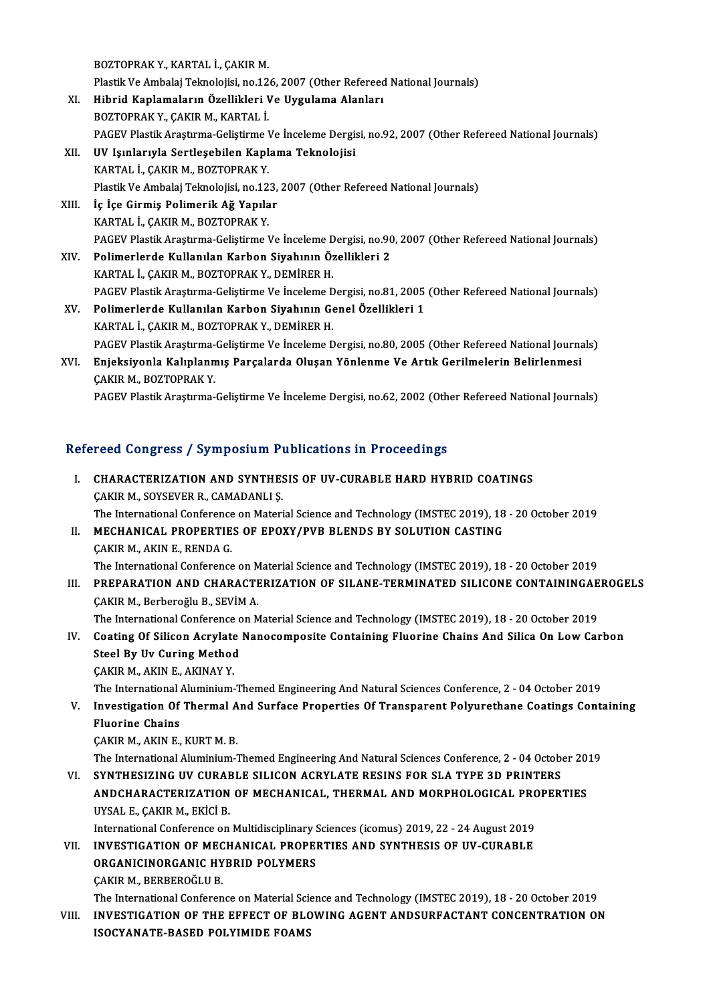BOZTOPRAKY.,KARTAL İ.,ÇAKIRM.

BOZTOPRAK Y., KARTAL İ., ÇAKIR M.<br>Plastik Ve Ambalaj Teknolojisi, no.126, 2007 (Other Refereed National Journals)<br>Hihrid Kaplamaların Özellikleri Ve Hygulama Alapları

- XI. Hibrid Kaplamaların Özellikleri Ve Uygulama Alanları<br>BOZTOPRAK Y., ÇAKIR M., KARTAL İ. Plastik Ve Ambalaj Teknolojisi, no.12<br>Hibrid Kaplamaların Özellikleri I<br>BOZTOPRAK Y., ÇAKIR M., KARTAL İ.<br>BACEV Plastik Anastuma Colistiuma I PAGEV Plastik Araştırma-Geliştirme Ve İnceleme Dergisi, no.92, 2007 (Other Refereed National Journals)
- XII. UV Işınlarıyla Sertleşebilen Kaplama Teknolojisi KARTAL İ., ÇAKIR M., BOZTOPRAK Y. Plastik Ve Ambalaj Teknolojisi, no.123, 2007 (Other Refereed National Journals) KARTAL İ., ÇAKIR M., BOZTOPRAK Y.<br>Plastik Ve Ambalaj Teknolojisi, no.123,<br>XIII. İç İçe Girmiş Polimerik Ağ Yapılar
- Plastik Ve Ambalaj Teknolojisi, no.12<br>İç İçe Girmiş Polimerik Ağ Yapıla<br>KARTAL İ., ÇAKIR M., BOZTOPRAK Y.<br>BACEV Blastik Arastırma Colistiuma I İç İçe Girmiş Polimerik Ağ Yapılar<br>KARTAL İ., ÇAKIR M., BOZTOPRAK Y.<br>PAGEV Plastik Araştırma-Geliştirme Ve İnceleme Dergisi, no.90, 2007 (Other Refereed National Journals)<br>Polimerlarda Kullanılan Karban Siyahının Özellikle KARTAL İ., ÇAKIR M., BOZTOPRAK Y.<br>PAGEV Plastik Araştırma-Geliştirme Ve İnceleme Dergisi, no.9(<br>XIV. Polimerlerde Kullanılan Karbon Siyahının Özellikleri 2<br>KARTAL İ., ÇAKIR M., BOZTOPRAK Y., DEMİRER H.
- PAGEV Plastik Araştırma-Geliştirme Ve İnceleme D<br>Polimerlerde Kullanılan Karbon Siyahının Öz<br>KARTAL İ., ÇAKIR M., BOZTOPRAK Y., DEMİRER H.<br>PACEV Plastik Arastırma Gelistirma Ve İnselame D Polimerlerde Kullanılan Karbon Siyahının Özellikleri 2<br>KARTAL İ., ÇAKIR M., BOZTOPRAK Y., DEMİRER H.<br>PAGEV Plastik Araştırma-Geliştirme Ve İnceleme Dergisi, no.81, 2005 (Other Refereed National Journals)<br>Polimerlarda Kulla
- XV. Polimerlerde Kullanılan Karbon Siyahının Genel Özellikleri 1<br>KARTAL İ., ÇAKIR M., BOZTOPRAK Y., DEMİRER H. PAGEV Plastik Araştırma-Geliştirme Ve İnceleme D<br>Polimerlerde Kullanılan Karbon Siyahının Ge<br>KARTAL İ., ÇAKIR M., BOZTOPRAK Y., DEMİRER H.<br>PACEV Plastik Arastırma Gelistirma Ve İnselame D Polimerlerde Kullanılan Karbon Siyahının Genel Özellikleri 1<br>KARTAL İ., ÇAKIR M., BOZTOPRAK Y., DEMİRER H.<br>PAGEV Plastik Araştırma-Geliştirme Ve İnceleme Dergisi, no.80, 2005 (Other Refereed National Journals)<br>Enieksiyonle
- XVI. Enjeksiyonla Kalıplanmış Parçalarda Oluşan Yönlenme Ve Artık Gerilmelerin Belirlenmesi PAGEV Plastik Araştırma-<br>Enjeksiyonla Kalıplann<br>ÇAKIR M., BOZTOPRAK Y.<br>PACEV Plastik Arastuma

PAGEV Plastik Araştırma-Geliştirme Ve İnceleme Dergisi, no.62, 2002 (Other Refereed National Journals)

# rAGEV riasuk Araşurma-Genşurme ve inceleme Dergisi, no.oz, 2002 (Odi<br>Refereed Congress / Symposium Publications in Proceedings

efereed Congress / Symposium Publications in Proceedings<br>I. CHARACTERIZATION AND SYNTHESIS OF UV-CURABLE HARD HYBRID COATINGS<br>CAKIRM SOVSEVER R. CAMADANLI S I. CHARACTERIZATION AND SYNTHESIS OF UV-CURABLE HARD HYBRID COATINGS<br>CAKIRM., SOYSEVER R., CAMADANLI S. CHARACTERIZATION AND SYNTHESIS OF UV-CURABLE HARD HYBRID COATINGS<br>ÇAKIR M., SOYSEVER R., CAMADANLI Ş.<br>The International Conference on Material Science and Technology (IMSTEC 2019), 18 - 20 October 2019<br>MECHANICAL PROPERTIE CAKIR M., SOYSEVER R., CAMADANLI Ș.<br>The International Conference on Material Science and Technology (IMSTEC 2019), 18<br>II. MECHANICAL PROPERTIES OF EPOXY/PVB BLENDS BY SOLUTION CASTING<br>CAVIB M. AVIN E. BENDA C The International Conference<br>MECHANICAL PROPERTIE<br>ÇAKIR M., AKIN E., RENDA G.<br>The International Conference MECHANICAL PROPERTIES OF EPOXY/PVB BLENDS BY SOLUTION CASTING<br>CAKIR M., AKIN E., RENDA G.<br>The International Conference on Material Science and Technology (IMSTEC 2019), 18 - 20 October 2019<br>PREPARATION AND CHARACTERIZATION CAKIR M., AKIN E., RENDA G.<br>The International Conference on Material Science and Technology (IMSTEC 2019), 18 - 20 October 2019<br>III. PREPARATION AND CHARACTERIZATION OF SILANE-TERMINATED SILICONE CONTAININGAEROGELS The International Conference on M<br>PREPARATION AND CHARACTE<br>CAKIR M., Berberoğlu B., SEVİM A.<br>The International Conference on M PREPARATION AND CHARACTERIZATION OF SILANE-TERMINATED SILICONE CONTAININGAE<br>ÇAKIR M., Berberoğlu B., SEVİM A.<br>The International Conference on Material Science and Technology (IMSTEC 2019), 18 - 20 October 2019<br>Costing Of S CAKIR M., Berberoğlu B., SEVİM A.<br>The International Conference on Material Science and Technology (IMSTEC 2019), 18 - 20 October 2019<br>IV. Coating Of Silicon Acrylate Nanocomposite Containing Fluorine Chains And Silica The International Conference c<br>Coating Of Silicon Acrylate<br>Steel By Uv Curing Method<br>CAKIB M. AKIN E. AKINAY V Coating Of Silicon Acrylate<br>Steel By Uv Curing Method<br>CAKIR M., AKIN E., AKINAY Y.<br>The International Aluminium CAKIR M., AKIN E., AKINAY Y.<br>The International Aluminium-Themed Engineering And Natural Sciences Conference, 2 - 04 October 2019 CAKIR M., AKIN E., AKINAY Y.<br>The International Aluminium-Themed Engineering And Natural Sciences Conference, 2 - 04 October 2019<br>V. Investigation Of Thermal And Surface Properties Of Transparent Polyurethane Coatings C The International<br>Investigation Of<br>Fluorine Chains<br>CAKIP M AKIN E Fluorine Chains<br>CAKIR M., AKIN E., KURT M. B. The International Aluminium-Themed Engineering And Natural Sciences Conference, 2 - 04 October 2019 CAKIR M., AKIN E., KURT M. B.<br>The International Aluminium-Themed Engineering And Natural Sciences Conference, 2 - 04 October.<br>VI. SYNTHESIZING UV CURABLE SILICON ACRYLATE RESINS FOR SLA TYPE 3D PRINTERS ANDCHARACTERIZATION OF MECHANICAL, THERMAL AND MORPHOLOGICAL PROPERTIES<br>UYSAL E., ÇAKIR M., EKİCİ B. SYNTHESIZING UV CURAE<br>ANDCHARACTERIZATION<br>UYSAL E., ÇAKIR M., EKİCİ B.<br>International Cenference en ANDCHARACTERIZATION OF MECHANICAL, THERMAL AND MORPHOLOGICAL PRO<br>UYSAL E., ÇAKIR M., EKİCİ B.<br>International Conference on Multidisciplinary Sciences (icomus) 2019, 22 - 24 August 2019<br>INVESTIC ATION OF MECHANICAL PROPERTIE UYSAL E., ÇAKIR M., EKİCİ B.<br>International Conference on Multidisciplinary Sciences (icomus) 2019, 22 - 24 August 2019<br>VII. INVESTIGATION OF MECHANICAL PROPERTIES AND SYNTHESIS OF UV-CURABLE<br>ORCANICINORCANIC HYPRID POLYMER International Conference on Multidisciplinary S<br>INVESTIGATION OF MECHANICAL PROPEI<br>ORGANICINORGANIC HYBRID POLYMERS<br>CAKIB M. BERBEROČI U P VII. INVESTIGATION OF MECHANICAL PROPERTIES AND SYNTHESIS OF UV-CURABLE<br>ORGANICINORGANIC HYBRID POLYMERS<br>CAKIR M., BERBEROĞLU B. ORGANICINORGANIC HYBRID POLYMERS<br>ÇAKIR M., BERBEROĞLU B.<br>The International Conference on Material Science and Technology (IMSTEC 2019), 18 - 20 October 2019<br>INVESTIC ATION OF THE EFFECT OF BLOWING ACENT ANDSUREACTANT CONCE CAKIR M., BERBEROĞLU B.<br>The International Conference on Material Science and Technology (IMSTEC 2019), 18 - 20 October 2019<br>VIII. INVESTIGATION OF THE EFFECT OF BLOWING AGENT ANDSURFACTANT CONCENTRATION ON The International Conference on Material Sci<br>INVESTIGATION OF THE EFFECT OF BLC<br>ISOCYANATE-BASED POLYIMIDE FOAMS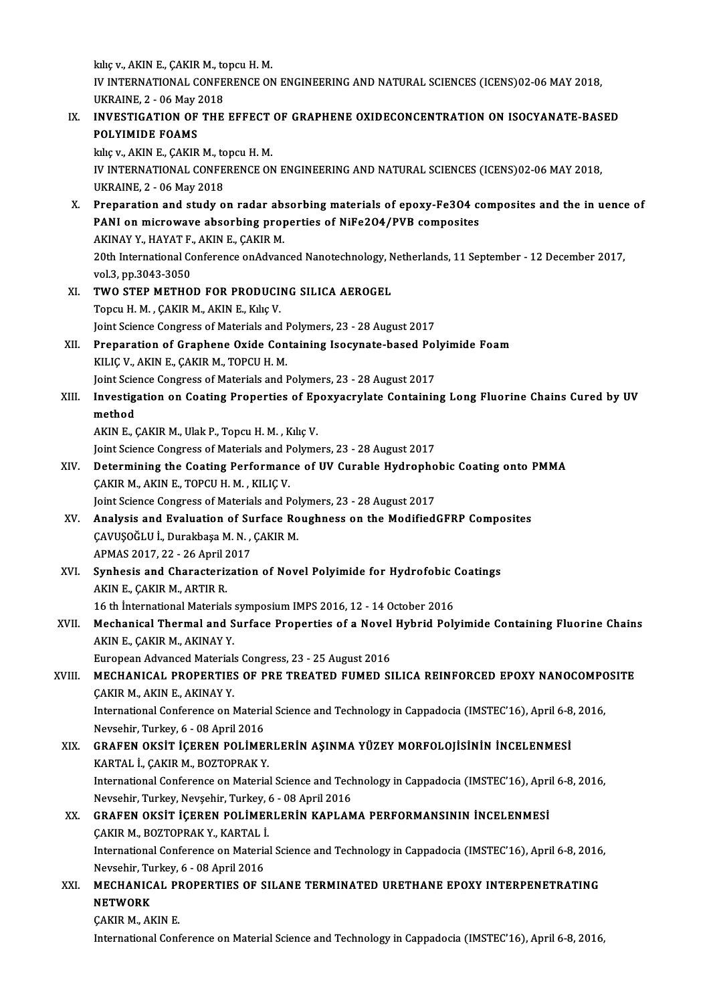kılıç v., AKIN E., ÇAKIR M., topcu H. M. kılıç v., AKIN E., ÇAKIR M., topcu H. M.<br>IV INTERNATIONAL CONFERENCE ON ENGINEERING AND NATURAL SCIENCES (ICENS)02-06 MAY 2018,<br>UKRAINE 3 - 06 May 2018 kiliç v., AKIN E., ÇAKIR M., to<br>IV INTERNATIONAL CONFE<br>UKRAINE, 2 - 06 May 2018<br>INVESTIC ATION OF THE IV INTERNATIONAL CONFERENCE ON ENGINEERING AND NATURAL SCIENCES (ICENS)02-06 MAY 2018,<br>UKRAINE, 2 - 06 May 2018<br>IX. INVESTIGATION OF THE EFFECT OF GRAPHENE OXIDECONCENTRATION ON ISOCYANATE-BASED<br>POLYIMIDE FOAMS UKRAINE, 2 - 06 May 2018<br>IX. INVESTIGATION OF THE EFFECT OF GRAPHENE OXIDECONCENTRATION ON ISOCYANATE-BASED<br>POLYIMIDE FOAMS kılıç v., AKIN E., ÇAKIR M., topcu H. M. POLYIMIDE FOAMS<br>kiliç v., AKIN E., ÇAKIR M., topcu H. M.<br>IV INTERNATIONAL CONFERENCE ON ENGINEERING AND NATURAL SCIENCES (ICENS)02-06 MAY 2018,<br>UKRAINE -2 - 06 May 2019 kiliç v., AKIN E., ÇAKIR M., to<br>IV INTERNATIONAL CONFE<br>UKRAINE, 2 - 06 May 2018<br>Proporation and study o IV INTERNATIONAL CONFERENCE ON ENGINEERING AND NATURAL SCIENCES (ICENS)02-06 MAY 2018,<br>UKRAINE, 2 - 06 May 2018<br>X. Preparation and study on radar absorbing materials of epoxy-Fe3O4 composites and the in uence of<br>RANI on mi UKRAINE, 2 - 06 May 2018<br>Preparation and study on radar absorbing materials of epoxy-Fe3O4 composites<br>PANI on microwave absorbing properties of NiFe2O4/PVB composites<br>AKINAV V. HAVATE, AKINE, CAKIB M Preparation and study on radar ab:<br>PANI on microwave absorbing prop<br>AKINAY Y., HAYAT F., AKIN E., ÇAKIR M.<br>20th International Conference on Advan 20th International Conference onAdvanced Nanotechnology, Netherlands, 11 September - 12 December 2017, vol.3, pp.3043-3050 AKINAY Y., HAYAT F., AKIN E., CAKIR M. XI. TWO STEP METHOD FOR PRODUCING SILICA AEROGEL TopcuH.M. ,ÇAKIRM.,AKINE.,KılıçV. Joint Science Congress of Materials and Polymers, 23 - 28 August 2017 Topcu H. M. , ÇAKIR M., AKIN E., Kılıç V.<br>Joint Science Congress of Materials and Polymers, 23 - 28 August 2017<br>XII. Preparation of Graphene Oxide Containing Isocynate-based Polyimide Foam Joint Science Congress of Materials and I<br>Preparation of Graphene Oxide Con<br>KILIÇ V., AKIN E., ÇAKIR M., TOPCU H. M.<br>Joint Science Congress of Materials and I Preparation of Graphene Oxide Containing Isocynate-based Pol<br>KILIÇ V., AKIN E., ÇAKIR M., TOPCU H. M.<br>Joint Science Congress of Materials and Polymers, 23 - 28 August 2017<br>Investigation on Coating Properties of Enewyagyyla KILIÇ V., AKIN E., ÇAKIR M., TOPCU H. M.<br>Joint Science Congress of Materials and Polymers, 23 - 28 August 2017<br>XIII. Investigation on Coating Properties of Epoxyacrylate Containing Long Fluorine Chains Cured by UV<br>meth **Joint Scie<br>Investig<br>method<br>AKIN E** Investigation on Coating Properties of Ep<br>method<br>AKIN E., ÇAKIR M., Ulak P., Topcu H. M. , Kılıç V.<br>Joint Scionce Congress of Materials and Polyme method<br>AKIN E., ÇAKIR M., Ulak P., Topcu H. M. , Kılıç V.<br>Joint Science Congress of Materials and Polymers, 23 - 28 August 2017<br>Determining the Coating Berformance of IIV Gurable Hydrophe AKIN E., ÇAKIR M., Ulak P., Topcu H. M. , Kılıç V.<br>Joint Science Congress of Materials and Polymers, 23 - 28 August 2017<br>XIV. Determining the Coating Performance of UV Curable Hydrophobic Coating onto PMMA Joint Science Congress of Materials and P<br>Determining the Coating Performanc<br>CAKIR M., AKIN E., TOPCU H. M. , KILIÇ V.<br>Joint Science Congress of Materials and B Determining the Coating Performance of UV Curable Hydropho<br>CAKIR M., AKIN E., TOPCU H. M. , KILIC V.<br>Joint Science Congress of Materials and Polymers, 23 - 28 August 2017 CAKIR M., AKIN E., TOPCU H. M. , KILIC V.<br>Joint Science Congress of Materials and Polymers, 23 - 28 August 2017<br>XV. Analysis and Evaluation of Surface Roughness on the ModifiedGFRP Composites<br>CAVUSOĞLU İ., Durakbaşa M. N. Joint Science Congress of Materials and Polymers, 23 - 28 August 2017 Analysis and Evaluation of Su<br>ÇAVUŞOĞLU İ., Durakbaşa M. N. ,<br>APMAS 2017, 22 - 26 April 2017<br>Sunhasis and Charasteriratiol XVI. Synhesis and Characterization of Novel Polyimide for Hydrofobic Coatings APMAS 2017, 22 - 26 April 2<br>**Synhesis and Characteriz**<br>AKIN E., ÇAKIR M., ARTIR R.<br>16 th International Material: Synhesis and Characterization of Novel Polyimide for Hydrofobic (<br>AKIN E., ÇAKIR M., ARTIR R.<br>16 th İnternational Materials symposium IMPS 2016, 12 - 14 October 2016<br>Machanical Thermal and Surface Preparties of a Novel Hyb AKIN E., ÇAKIR M., ARTIR R.<br>16 th İnternational Materials symposium IMPS 2016, 12 - 14 October 2016<br>XVII. Mechanical Thermal and Surface Properties of a Novel Hybrid Polyimide Containing Fluorine Chains<br>AKIN E. CAKIR M. AK 16 th International Materials<br>Mechanical Thermal and S<br>AKIN E., ÇAKIR M., AKINAY Y.<br>Euronean Advanced Material Mechanical Thermal and Surface Properties of a Novel<br>AKIN E., ÇAKIR M., AKINAY Y.<br>European Advanced Materials Congress, 23 - 25 August 2016<br>MECHANICAL PROPERTIES OF PRE TREATED FUMED SI AKIN E., ÇAKIR M., AKINAY Y.<br>European Advanced Materials Congress, 23 - 25 August 2016<br>XVIII. MECHANICAL PROPERTIES OF PRE TREATED FUMED SILICA REINFORCED EPOXY NANOCOMPOSITE<br>CAKIR M., AKIN E., AKINAY Y. European Advanced Materials Congress, 23 - 25 August 2016 MECHANICAL PROPERTIES OF PRE TREATED FUMED SILICA REINFORCED EPOXY NANOCOMPO<br>CAKIR M., AKIN E., AKINAY Y.<br>International Conference on Material Science and Technology in Cappadocia (IMSTEC'16), April 6-8, 2016,<br>Naveshir Tur CAKIR M., AKIN E., AKINAY Y.<br>International Conference on Materia<br>Nevsehir, Turkey, 6 - 08 April 2016<br>CRAEEN OKSIT ICEREN POLIME International Conference on Material Science and Technology in Cappadocia (IMSTEC'16), April 6-8<br>Nevsehir, Turkey, 6 - 08 April 2016<br>XIX. GRAFEN OKSİT İÇEREN POLİMERLERİN AŞINMA YÜZEY MORFOLOJİSİNİN İNCELENMESİ Nevsehir, Turkey, 6 - 08 April 2016<br>XIX. GRAFEN OKSİT İÇEREN POLİMERLERİN AŞINMA YÜZEY MORFOLOJİSİNİN İNCELENMESİ<br>KARTAL İ., ÇAKIR M., BOZTOPRAK Y. GRAFEN OKSİT İÇEREN POLİMERLERİN AŞINMA YÜZEY MORFOLOJİSİNİN İNCELENMESİ<br>KARTAL İ., ÇAKIR M., BOZTOPRAK Y.<br>International Conference on Material Science and Technology in Cappadocia (IMSTEC'16), April 6-8, 2016,<br>Navçehir Tu KARTAL İ., ÇAKIR M., BOZTOPRAK Y.<br>International Conference on Material Science and Tech<br>Nevsehir, Turkey, Nevşehir, Turkey, 6 - 08 April 2016<br>CRAEEN OKSİT İCEREN POLİMERLERİN KARLAN International Conference on Material Science and Technology in Cappadocia (IMSTEC'16), Apri<br>Nevsehir, Turkey, Nevşehir, Turkey, 6 - 08 April 2016<br>XX. GRAFEN OKSİT İÇEREN POLİMERLERİN KAPLAMA PERFORMANSININ İNCELENMESİ<br>GAKI Nevsehir, Turkey, Nevşehir, Turkey, 6 - 08 April 2016<br>XX. GRAFEN OKSİT İÇEREN POLİMERLERİN KAPLAMA PERFORMANSININ İNCELENMESİ<br>CAKIR M., BOZTOPRAK Y., KARTAL İ. International Conference on Material Science and Technology in Cappadocia (IMSTEC'16), April 6-8, 2016, Nevsehir, Turkey, 6 - 08 April 2016 International Conference on Material Science and Technology in Cappadocia (IMSTEC'16), April 6-8, 2016<br>Nevsehir, Turkey, 6 - 08 April 2016<br>XXI. MECHANICAL PROPERTIES OF SILANE TERMINATED URETHANE EPOXY INTERPENETRATING Nevsehir, Tu<br>MECHANIC.<br>NETWORK<br>CAVIP M. AL MECHANICAL PI<br>NETWORK<br>ÇAKIR M., AKIN E.<br>International Conf **NETWORK**<br>ÇAKIR M., AKIN E.<br>International Conference on Material Science and Technology in Cappadocia (IMSTEC'16), April 6-8, 2016,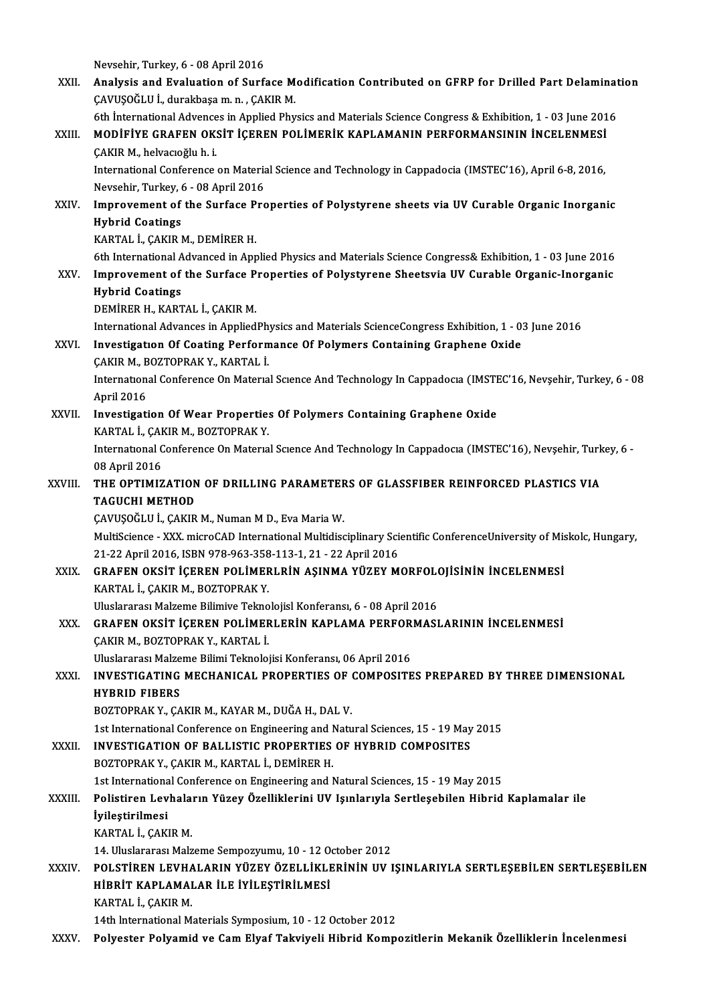Nevsehir, Turkey, 6 - 08 April 2016<br>Apelysis and Evaluation of Surf

|              | Nevsehir, Turkey, 6 - 08 April 2016                                                                                                                  |
|--------------|------------------------------------------------------------------------------------------------------------------------------------------------------|
| XXII.        | Analysis and Evaluation of Surface Modification Contributed on GFRP for Drilled Part Delamination<br>ÇAVUŞOĞLU İ., durakbaşa m. n. , ÇAKIR M.        |
|              | 6th International Advences in Applied Physics and Materials Science Congress & Exhibition, 1 - 03 June 2016                                          |
| XXIII.       | MODIFIYE GRAFEN OKSIT IÇEREN POLIMERIK KAPLAMANIN PERFORMANSININ İNCELENMESI                                                                         |
|              | ÇAKIR M., helvacıoğlu h. i.                                                                                                                          |
|              | International Conference on Material Science and Technology in Cappadocia (IMSTEC'16), April 6-8, 2016,                                              |
|              | Nevsehir, Turkey, 6 - 08 April 2016                                                                                                                  |
| XXIV.        | Improvement of the Surface Properties of Polystyrene sheets via UV Curable Organic Inorganic                                                         |
|              | <b>Hybrid Coatings</b>                                                                                                                               |
|              | KARTAL İ., ÇAKIR M., DEMİRER H.                                                                                                                      |
|              | 6th International Advanced in Applied Physics and Materials Science Congress& Exhibition, 1 - 03 June 2016                                           |
| XXV          | Improvement of the Surface Properties of Polystyrene Sheetsvia UV Curable Organic-Inorganic                                                          |
|              | <b>Hybrid Coatings</b><br>DEMIRER H., KARTAL İ., ÇAKIR M.                                                                                            |
|              | International Advances in AppliedPhysics and Materials ScienceCongress Exhibition, 1 - 03 June 2016                                                  |
| XXVI.        | Investigation Of Coating Performance Of Polymers Containing Graphene Oxide                                                                           |
|              | ÇAKIR M., BOZTOPRAK Y., KARTAL İ.                                                                                                                    |
|              | International Conference On Material Science And Technology In Cappadocia (IMSTEC'16, Nevșehir, Turkey, 6 - 08                                       |
|              | April 2016                                                                                                                                           |
| XXVII.       | Investigation Of Wear Properties Of Polymers Containing Graphene Oxide                                                                               |
|              | KARTAL İ., ÇAKIR M., BOZTOPRAK Y.                                                                                                                    |
|              | International Conference On Material Science And Technology In Cappadocia (IMSTEC'16), Nevșehir, Turkey, 6 -                                         |
|              | 08 April 2016                                                                                                                                        |
| XXVIII.      | THE OPTIMIZATION OF DRILLING PARAMETERS OF GLASSFIBER REINFORCED PLASTICS VIA<br><b>TAGUCHI METHOD</b>                                               |
|              | CAVUSOĞLU İ., ÇAKIR M., Numan M D., Eva Maria W.                                                                                                     |
|              | MultiScience - XXX. microCAD International Multidisciplinary Scientific ConferenceUniversity of Miskolc, Hungary,                                    |
|              | 21-22 April 2016, ISBN 978-963-358-113-1, 21 - 22 April 2016                                                                                         |
| XXIX.        | GRAFEN OKSIT IÇEREN POLIMERLRIN AŞINMA YÜZEY MORFOLOJISININ İNCELENMESI                                                                              |
|              | KARTAL İ., ÇAKIR M., BOZTOPRAK Y.                                                                                                                    |
|              | Uluslararası Malzeme Bilimive Teknolojisl Konferansı, 6 - 08 April 2016                                                                              |
| XXX.         | GRAFEN OKSIT IÇEREN POLIMERLERIN KAPLAMA PERFORMASLARININ İNCELENMESI                                                                                |
|              | ÇAKIR M., BOZTOPRAK Y., KARTAL İ.                                                                                                                    |
|              | Uluslararası Malzeme Bilimi Teknolojisi Konferansı, 06 April 2016<br>INVESTIGATING MECHANICAL PROPERTIES OF COMPOSITES PREPARED BY THREE DIMENSIONAL |
| XXXI.        | <b>HYBRID FIBERS</b>                                                                                                                                 |
|              | BOZTOPRAK Y., ÇAKIR M., KAYAR M., DUĞA H., DAL V.                                                                                                    |
|              | 1st International Conference on Engineering and Natural Sciences, 15 - 19 May 2015                                                                   |
| <b>XXXII</b> | <b>INVESTIGATION OF BALLISTIC PROPERTIES OF HYBRID COMPOSITES</b>                                                                                    |
|              | BOZTOPRAK Y., ÇAKIR M., KARTAL İ., DEMİRER H.                                                                                                        |
|              | 1st International Conference on Engineering and Natural Sciences, 15 - 19 May 2015                                                                   |
| XXXIII.      | Polistiren Levhaların Yüzey Özelliklerini UV Işınlarıyla Sertleşebilen Hibrid Kaplamalar ile                                                         |
|              | İyileştirilmesi                                                                                                                                      |
|              | KARTAL İ., ÇAKIR M.                                                                                                                                  |
|              | 14. Uluslararası Malzeme Sempozyumu, 10 - 12 October 2012                                                                                            |
| XXXIV.       | POLSTIREN LEVHALARIN YÜZEY ÖZELLIKLERININ UV IŞINLARIYLA SERTLEŞEBILEN SERTLEŞEBILEN<br>HİBRİT KAPLAMALAR İLE İYİLEŞTİRİLMESİ                        |
|              | KARTAL İ., ÇAKIR M.                                                                                                                                  |
|              | 14th International Materials Symposium, 10 - 12 October 2012                                                                                         |
| XXXV.        | Polyester Polyamid ve Cam Elyaf Takviyeli Hibrid Kompozitlerin Mekanik Özelliklerin İncelenmesi                                                      |
|              |                                                                                                                                                      |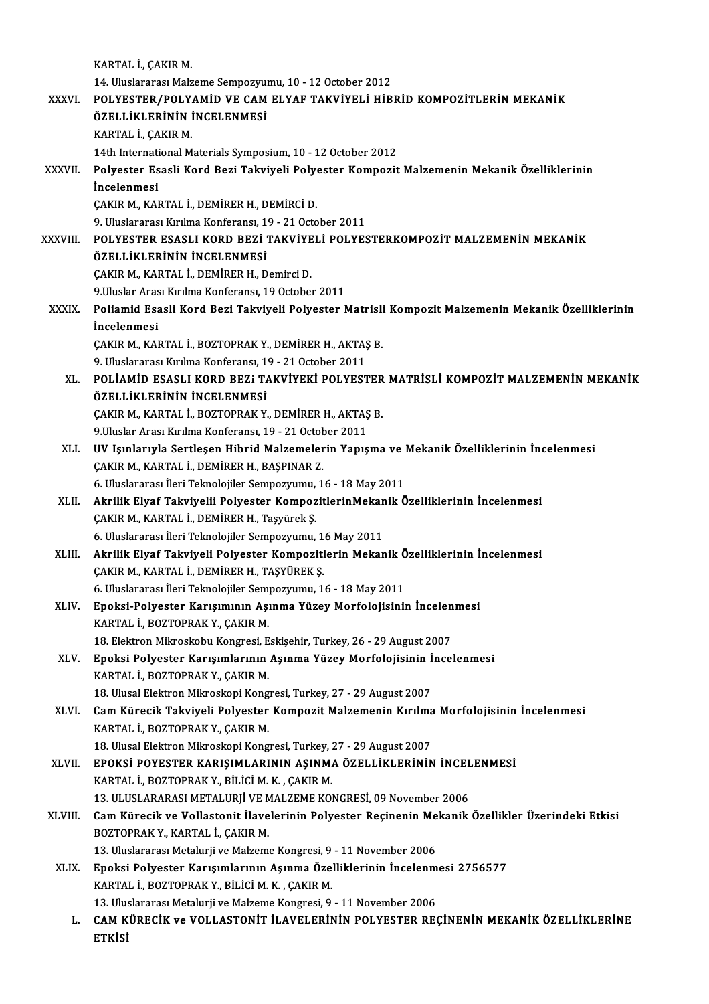|              | KARTAL İ., ÇAKIR M.                                                                                              |
|--------------|------------------------------------------------------------------------------------------------------------------|
|              | 14. Uluslararası Malzeme Sempozyumu, 10 - 12 October 2012                                                        |
| XXXVI.       | POLYESTER/POLYAMID VE CAM ELYAF TAKVIYELI HIBRID KOMPOZITLERIN MEKANIK                                           |
|              | ÖZELLİKLERİNİN İNCELENMESİ                                                                                       |
|              | KARTAL İ., ÇAKIR M.                                                                                              |
|              | 14th International Materials Symposium, 10 - 12 October 2012                                                     |
| XXXVII.      | Polyester Esasli Kord Bezi Takviyeli Polyester Kompozit Malzemenin Mekanik Özelliklerinin                        |
|              | <i>incelenmesi</i>                                                                                               |
|              | ÇAKIR M., KARTAL İ., DEMİRER H., DEMİRCİ D.                                                                      |
|              | 9. Uluslararası Kırılma Konferansı, 19 - 21 October 2011                                                         |
| XXXVIII.     | POLYESTER ESASLI KORD BEZİ TAKVİYELİ POLYESTERKOMPOZİT MALZEMENİN MEKANİK                                        |
|              | ÖZELLİKLERİNİN İNCELENMESİ                                                                                       |
|              | CAKIR M., KARTAL İ., DEMİRER H., Demirci D.                                                                      |
|              | 9 Uluslar Arası Kırılma Konferansı, 19 October 2011                                                              |
| <b>XXXIX</b> | Poliamid Esasli Kord Bezi Takviyeli Polyester Matrisli Kompozit Malzemenin Mekanik Özelliklerinin                |
|              | İncelenmesi                                                                                                      |
|              | ÇAKIR M., KARTAL İ., BOZTOPRAK Y., DEMİRER H., AKTAŞ B.                                                          |
|              | 9. Uluslararası Kırılma Konferansı, 19 - 21 October 2011                                                         |
| XL.          | POLIAMID ESASLI KORD BEZI TAKVIYEKI POLYESTER MATRISLI KOMPOZIT MALZEMENIN MEKANIK<br>ÖZELLİKLERİNİN İNCELENMESİ |
|              | ÇAKIR M., KARTAL İ., BOZTOPRAK Y., DEMİRER H., AKTAŞ B.                                                          |
|              | 9 Uluslar Arası Kırılma Konferansı, 19 - 21 October 2011                                                         |
| XLI.         | UV Işınlarıyla Sertleşen Hibrid Malzemelerin Yapışma ve Mekanik Özelliklerinin İncelenmesi                       |
|              | ÇAKIR M., KARTAL İ., DEMİRER H., BAŞPINAR Z.                                                                     |
|              | 6. Uluslararası İleri Teknolojiler Sempozyumu, 16 - 18 May 2011                                                  |
| XLII.        | Akrilik Elyaf Takviyelii Polyester KompozitlerinMekanik Özelliklerinin İncelenmesi                               |
|              | CAKIR M., KARTAL İ., DEMİRER H., Taşyürek Ş.                                                                     |
|              | 6. Uluslararası İleri Teknolojiler Sempozyumu, 16 May 2011                                                       |
| XLIII.       | Akrilik Elyaf Takviyeli Polyester Kompozitlerin Mekanik Özelliklerinin İncelenmesi                               |
|              | ÇAKIR M., KARTAL İ., DEMİRER H., TAŞYÜREK Ş.                                                                     |
|              | 6. Uluslararası İleri Teknolojiler Sempozyumu, 16 - 18 May 2011                                                  |
| XLIV.        | Epoksi-Polyester Karışımının Aşınma Yüzey Morfolojisinin İncelenmesi                                             |
|              | KARTAL İ., BOZTOPRAK Y., ÇAKIR M.                                                                                |
|              | 18. Elektron Mikroskobu Kongresi, Eskişehir, Turkey, 26 - 29 August 2007                                         |
| XLV.         | Epoksi Polyester Karışımlarının Aşınma Yüzey Morfolojisinin İncelenmesi                                          |
|              | KARTAL İ., BOZTOPRAK Y., ÇAKIR M.                                                                                |
|              | 18. Ulusal Elektron Mikroskopi Kongresi, Turkey, 27 - 29 August 2007                                             |
| XLVI.        | Cam Kürecik Takviyeli Polyester Kompozit Malzemenin Kırılma Morfolojisinin İncelenmesi                           |
|              | KARTAL İ., BOZTOPRAK Y., ÇAKIR M.<br>18. Ulusal Elektron Mikroskopi Kongresi, Turkey, 27 - 29 August 2007        |
| XLVII.       | EPOKSİ POYESTER KARIŞIMLARININ AŞINMA ÖZELLİKLERİNİN İNCELENMESİ                                                 |
|              | KARTAL İ., BOZTOPRAK Y., BİLİCİ M. K., ÇAKIR M.                                                                  |
|              | 13. ULUSLARARASI METALURJİ VE MALZEME KONGRESİ, 09 November 2006                                                 |
| XLVIII.      | Cam Kürecik ve Vollastonit İlavelerinin Polyester Reçinenin Mekanik Özellikler Üzerindeki Etkisi                 |
|              | BOZTOPRAK Y., KARTAL İ., ÇAKIR M.                                                                                |
|              | 13. Uluslararası Metalurji ve Malzeme Kongresi, 9 - 11 November 2006                                             |
| <b>XLIX</b>  | Epoksi Polyester Karışımlarının Aşınma Özelliklerinin İncelenmesi 2756577                                        |
|              | KARTAL İ., BOZTOPRAK Y., BİLİCİ M. K., ÇAKIR M.                                                                  |
|              | 13. Uluslararası Metalurji ve Malzeme Kongresi, 9 - 11 November 2006                                             |
| L.           | CAM KÜRECIK ve VOLLASTONIT İLAVELERİNİN POLYESTER REÇİNENİN MEKANIK ÖZELLİKLERİNE                                |
|              | <b>ETKISI</b>                                                                                                    |
|              |                                                                                                                  |